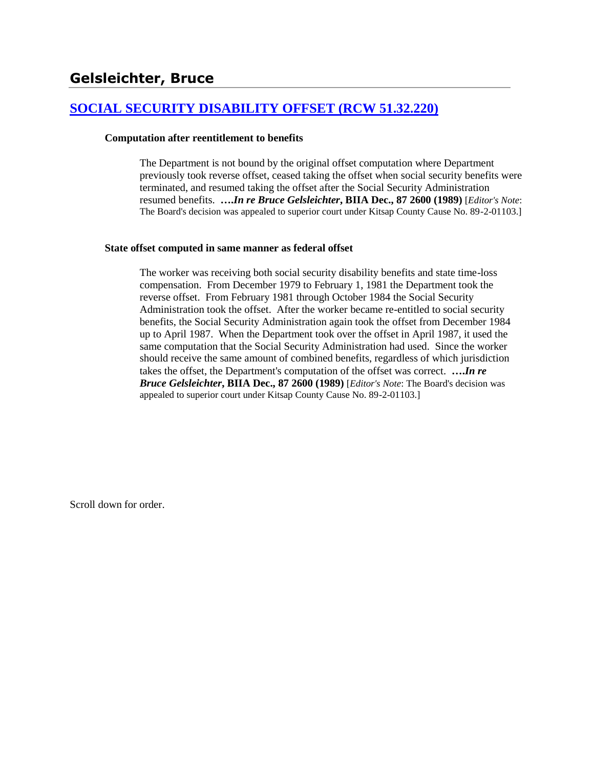## **[SOCIAL SECURITY DISABILITY OFFSET \(RCW 51.32.220\)](http://www.biia.wa.gov/SDSubjectIndex.html#SOCIAL_SECURITY_DISABILITY_OFFSET)**

### **Computation after reentitlement to benefits**

The Department is not bound by the original offset computation where Department previously took reverse offset, ceased taking the offset when social security benefits were terminated, and resumed taking the offset after the Social Security Administration resumed benefits. **….***In re Bruce Gelsleichter***, BIIA Dec., 87 2600 (1989)** [*Editor's Note*: The Board's decision was appealed to superior court under Kitsap County Cause No. 89-2-01103.]

### **State offset computed in same manner as federal offset**

The worker was receiving both social security disability benefits and state time-loss compensation. From December 1979 to February 1, 1981 the Department took the reverse offset. From February 1981 through October 1984 the Social Security Administration took the offset. After the worker became re-entitled to social security benefits, the Social Security Administration again took the offset from December 1984 up to April 1987. When the Department took over the offset in April 1987, it used the same computation that the Social Security Administration had used. Since the worker should receive the same amount of combined benefits, regardless of which jurisdiction takes the offset, the Department's computation of the offset was correct. **….***In re Bruce Gelsleichter***, BIIA Dec., 87 2600 (1989)** [*Editor's Note*: The Board's decision was appealed to superior court under Kitsap County Cause No. 89-2-01103.]

Scroll down for order.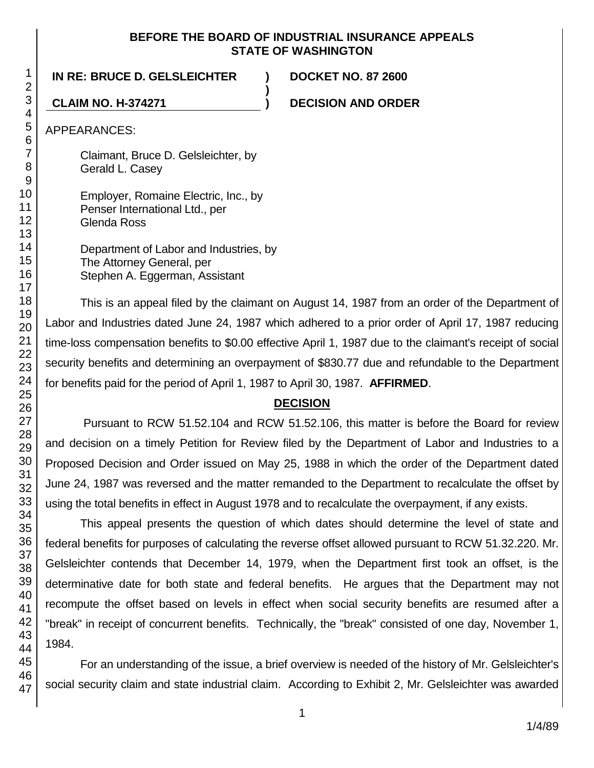### **BEFORE THE BOARD OF INDUSTRIAL INSURANCE APPEALS STATE OF WASHINGTON**

**)**

**IN RE: BRUCE D. GELSLEICHTER ) DOCKET NO. 87 2600**

**CLAIM NO. H-374271 ) DECISION AND ORDER**

APPEARANCES:

Claimant, Bruce D. Gelsleichter, by Gerald L. Casey

Employer, Romaine Electric, Inc., by Penser International Ltd., per Glenda Ross

Department of Labor and Industries, by The Attorney General, per Stephen A. Eggerman, Assistant

This is an appeal filed by the claimant on August 14, 1987 from an order of the Department of Labor and Industries dated June 24, 1987 which adhered to a prior order of April 17, 1987 reducing time-loss compensation benefits to \$0.00 effective April 1, 1987 due to the claimant's receipt of social security benefits and determining an overpayment of \$830.77 due and refundable to the Department for benefits paid for the period of April 1, 1987 to April 30, 1987. **AFFIRMED**.

# **DECISION**

Pursuant to RCW 51.52.104 and RCW 51.52.106, this matter is before the Board for review and decision on a timely Petition for Review filed by the Department of Labor and Industries to a Proposed Decision and Order issued on May 25, 1988 in which the order of the Department dated June 24, 1987 was reversed and the matter remanded to the Department to recalculate the offset by using the total benefits in effect in August 1978 and to recalculate the overpayment, if any exists.

This appeal presents the question of which dates should determine the level of state and federal benefits for purposes of calculating the reverse offset allowed pursuant to RCW 51.32.220. Mr. Gelsleichter contends that December 14, 1979, when the Department first took an offset, is the determinative date for both state and federal benefits. He argues that the Department may not recompute the offset based on levels in effect when social security benefits are resumed after a "break" in receipt of concurrent benefits. Technically, the "break" consisted of one day, November 1, 1984.

For an understanding of the issue, a brief overview is needed of the history of Mr. Gelsleichter's social security claim and state industrial claim. According to Exhibit 2, Mr. Gelsleichter was awarded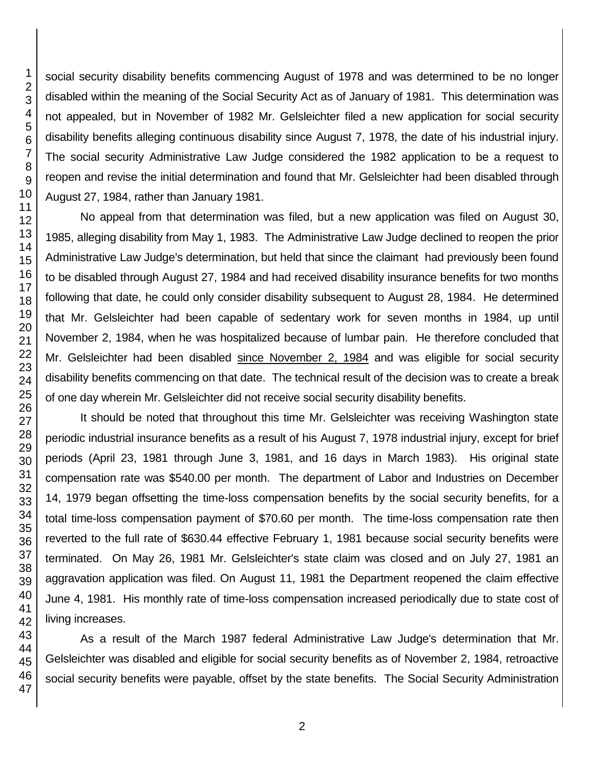social security disability benefits commencing August of 1978 and was determined to be no longer disabled within the meaning of the Social Security Act as of January of 1981. This determination was not appealed, but in November of 1982 Mr. Gelsleichter filed a new application for social security disability benefits alleging continuous disability since August 7, 1978, the date of his industrial injury. The social security Administrative Law Judge considered the 1982 application to be a request to reopen and revise the initial determination and found that Mr. Gelsleichter had been disabled through August 27, 1984, rather than January 1981.

No appeal from that determination was filed, but a new application was filed on August 30, 1985, alleging disability from May 1, 1983. The Administrative Law Judge declined to reopen the prior Administrative Law Judge's determination, but held that since the claimant had previously been found to be disabled through August 27, 1984 and had received disability insurance benefits for two months following that date, he could only consider disability subsequent to August 28, 1984. He determined that Mr. Gelsleichter had been capable of sedentary work for seven months in 1984, up until November 2, 1984, when he was hospitalized because of lumbar pain. He therefore concluded that Mr. Gelsleichter had been disabled since November 2, 1984 and was eligible for social security disability benefits commencing on that date. The technical result of the decision was to create a break of one day wherein Mr. Gelsleichter did not receive social security disability benefits.

It should be noted that throughout this time Mr. Gelsleichter was receiving Washington state periodic industrial insurance benefits as a result of his August 7, 1978 industrial injury, except for brief periods (April 23, 1981 through June 3, 1981, and 16 days in March 1983). His original state compensation rate was \$540.00 per month. The department of Labor and Industries on December 14, 1979 began offsetting the time-loss compensation benefits by the social security benefits, for a total time-loss compensation payment of \$70.60 per month. The time-loss compensation rate then reverted to the full rate of \$630.44 effective February 1, 1981 because social security benefits were terminated. On May 26, 1981 Mr. Gelsleichter's state claim was closed and on July 27, 1981 an aggravation application was filed. On August 11, 1981 the Department reopened the claim effective June 4, 1981. His monthly rate of time-loss compensation increased periodically due to state cost of living increases.

As a result of the March 1987 federal Administrative Law Judge's determination that Mr. Gelsleichter was disabled and eligible for social security benefits as of November 2, 1984, retroactive social security benefits were payable, offset by the state benefits. The Social Security Administration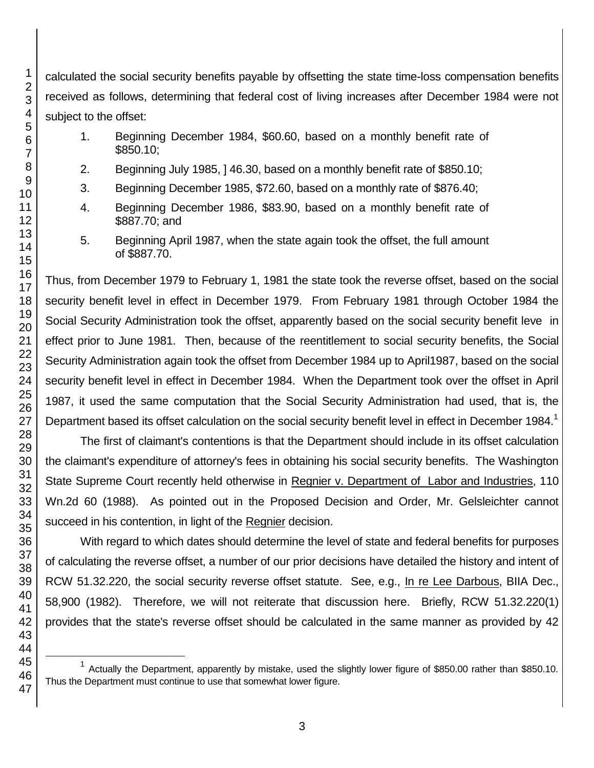calculated the social security benefits payable by offsetting the state time-loss compensation benefits received as follows, determining that federal cost of living increases after December 1984 were not subject to the offset:

- 1. Beginning December 1984, \$60.60, based on a monthly benefit rate of \$850.10;
- 2. Beginning July 1985, ] 46.30, based on a monthly benefit rate of \$850.10;
- 3. Beginning December 1985, \$72.60, based on a monthly rate of \$876.40;
- 4. Beginning December 1986, \$83.90, based on a monthly benefit rate of \$887.70; and
- 5. Beginning April 1987, when the state again took the offset, the full amount of \$887.70.

Thus, from December 1979 to February 1, 1981 the state took the reverse offset, based on the social security benefit level in effect in December 1979. From February 1981 through October 1984 the Social Security Administration took the offset, apparently based on the social security benefit leve in effect prior to June 1981. Then, because of the reentitlement to social security benefits, the Social Security Administration again took the offset from December 1984 up to April1987, based on the social security benefit level in effect in December 1984. When the Department took over the offset in April 1987, it used the same computation that the Social Security Administration had used, that is, the Department based its offset calculation on the social security benefit level in effect in December 1984.<sup>1</sup>

The first of claimant's contentions is that the Department should include in its offset calculation the claimant's expenditure of attorney's fees in obtaining his social security benefits. The Washington State Supreme Court recently held otherwise in Regnier v. Department of Labor and Industries, 110 Wn.2d 60 (1988). As pointed out in the Proposed Decision and Order, Mr. Gelsleichter cannot succeed in his contention, in light of the Regnier decision.

With regard to which dates should determine the level of state and federal benefits for purposes of calculating the reverse offset, a number of our prior decisions have detailed the history and intent of RCW 51.32.220, the social security reverse offset statute. See, e.g., In re Lee Darbous, BIIA Dec., 58,900 (1982). Therefore, we will not reiterate that discussion here. Briefly, RCW 51.32.220(1) provides that the state's reverse offset should be calculated in the same manner as provided by 42

l

<sup>&</sup>lt;sup>1</sup> Actually the Department, apparently by mistake, used the slightly lower figure of \$850.00 rather than \$850.10. Thus the Department must continue to use that somewhat lower figure.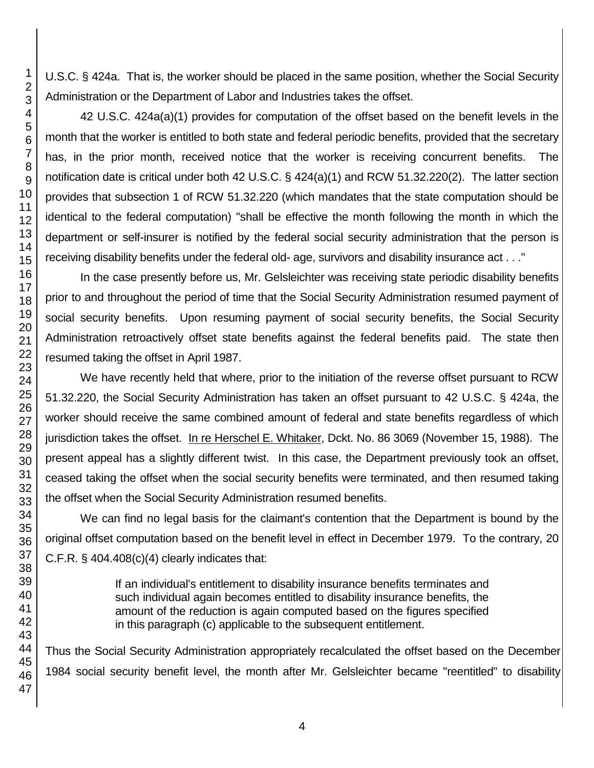U.S.C. § 424a. That is, the worker should be placed in the same position, whether the Social Security Administration or the Department of Labor and Industries takes the offset.

42 U.S.C. 424a(a)(1) provides for computation of the offset based on the benefit levels in the month that the worker is entitled to both state and federal periodic benefits, provided that the secretary has, in the prior month, received notice that the worker is receiving concurrent benefits. The notification date is critical under both 42 U.S.C. § 424(a)(1) and RCW 51.32.220(2). The latter section provides that subsection 1 of RCW 51.32.220 (which mandates that the state computation should be identical to the federal computation) "shall be effective the month following the month in which the department or self-insurer is notified by the federal social security administration that the person is receiving disability benefits under the federal old- age, survivors and disability insurance act . . ."

In the case presently before us, Mr. Gelsleichter was receiving state periodic disability benefits prior to and throughout the period of time that the Social Security Administration resumed payment of social security benefits. Upon resuming payment of social security benefits, the Social Security Administration retroactively offset state benefits against the federal benefits paid. The state then resumed taking the offset in April 1987.

We have recently held that where, prior to the initiation of the reverse offset pursuant to RCW 51.32.220, the Social Security Administration has taken an offset pursuant to 42 U.S.C. § 424a, the worker should receive the same combined amount of federal and state benefits regardless of which jurisdiction takes the offset. In re Herschel E. Whitaker, Dckt. No. 86 3069 (November 15, 1988). The present appeal has a slightly different twist. In this case, the Department previously took an offset, ceased taking the offset when the social security benefits were terminated, and then resumed taking the offset when the Social Security Administration resumed benefits.

We can find no legal basis for the claimant's contention that the Department is bound by the original offset computation based on the benefit level in effect in December 1979. To the contrary, 20 C.F.R.  $\S$  404.408(c)(4) clearly indicates that:

> If an individual's entitlement to disability insurance benefits terminates and such individual again becomes entitled to disability insurance benefits, the amount of the reduction is again computed based on the figures specified in this paragraph (c) applicable to the subsequent entitlement.

Thus the Social Security Administration appropriately recalculated the offset based on the December 1984 social security benefit level, the month after Mr. Gelsleichter became "reentitled" to disability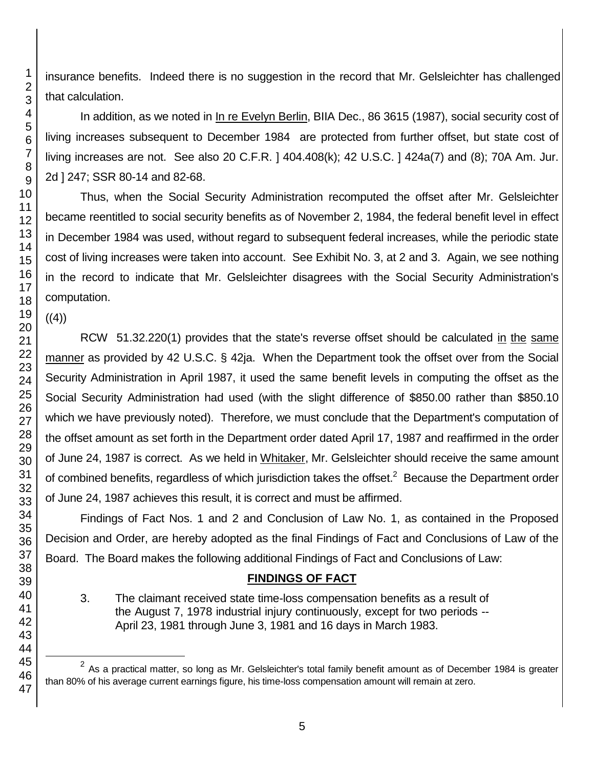insurance benefits. Indeed there is no suggestion in the record that Mr. Gelsleichter has challenged that calculation.

In addition, as we noted in In re Evelyn Berlin, BIIA Dec., 86 3615 (1987), social security cost of living increases subsequent to December 1984 are protected from further offset, but state cost of living increases are not. See also 20 C.F.R. ] 404.408(k); 42 U.S.C. ] 424a(7) and (8); 70A Am. Jur. 2d ] 247; SSR 80-14 and 82-68.

Thus, when the Social Security Administration recomputed the offset after Mr. Gelsleichter became reentitled to social security benefits as of November 2, 1984, the federal benefit level in effect in December 1984 was used, without regard to subsequent federal increases, while the periodic state cost of living increases were taken into account. See Exhibit No. 3, at 2 and 3. Again, we see nothing in the record to indicate that Mr. Gelsleichter disagrees with the Social Security Administration's computation.

 $((4))$ 

l

RCW 51.32.220(1) provides that the state's reverse offset should be calculated in the same manner as provided by 42 U.S.C. § 42ja. When the Department took the offset over from the Social Security Administration in April 1987, it used the same benefit levels in computing the offset as the Social Security Administration had used (with the slight difference of \$850.00 rather than \$850.10 which we have previously noted). Therefore, we must conclude that the Department's computation of the offset amount as set forth in the Department order dated April 17, 1987 and reaffirmed in the order of June 24, 1987 is correct. As we held in Whitaker, Mr. Gelsleichter should receive the same amount of combined benefits, regardless of which jurisdiction takes the offset.<sup>2</sup> Because the Department order of June 24, 1987 achieves this result, it is correct and must be affirmed.

Findings of Fact Nos. 1 and 2 and Conclusion of Law No. 1, as contained in the Proposed Decision and Order, are hereby adopted as the final Findings of Fact and Conclusions of Law of the Board. The Board makes the following additional Findings of Fact and Conclusions of Law:

# **FINDINGS OF FACT**

3. The claimant received state time-loss compensation benefits as a result of the August 7, 1978 industrial injury continuously, except for two periods -- April 23, 1981 through June 3, 1981 and 16 days in March 1983.

 As a practical matter, so long as Mr. Gelsleichter's total family benefit amount as of December 1984 is greater than 80% of his average current earnings figure, his time-loss compensation amount will remain at zero.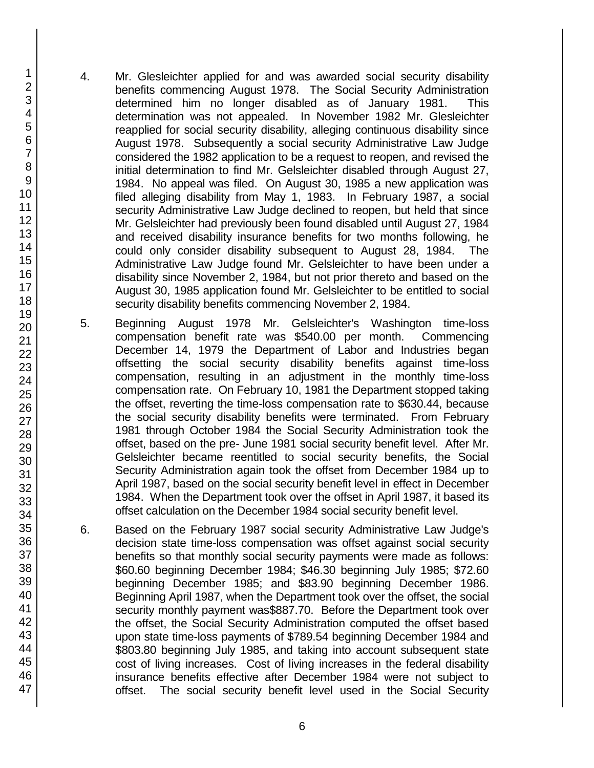- 4. Mr. Glesleichter applied for and was awarded social security disability benefits commencing August 1978. The Social Security Administration determined him no longer disabled as of January 1981. This determination was not appealed. In November 1982 Mr. Glesleichter reapplied for social security disability, alleging continuous disability since August 1978. Subsequently a social security Administrative Law Judge considered the 1982 application to be a request to reopen, and revised the initial determination to find Mr. Gelsleichter disabled through August 27, 1984. No appeal was filed. On August 30, 1985 a new application was filed alleging disability from May 1, 1983. In February 1987, a social security Administrative Law Judge declined to reopen, but held that since Mr. Gelsleichter had previously been found disabled until August 27, 1984 and received disability insurance benefits for two months following, he could only consider disability subsequent to August 28, 1984. The Administrative Law Judge found Mr. Gelsleichter to have been under a disability since November 2, 1984, but not prior thereto and based on the August 30, 1985 application found Mr. Gelsleichter to be entitled to social security disability benefits commencing November 2, 1984.
- 5. Beginning August 1978 Mr. Gelsleichter's Washington time-loss compensation benefit rate was \$540.00 per month. Commencing December 14, 1979 the Department of Labor and Industries began offsetting the social security disability benefits against time-loss compensation, resulting in an adjustment in the monthly time-loss compensation rate. On February 10, 1981 the Department stopped taking the offset, reverting the time-loss compensation rate to \$630.44, because the social security disability benefits were terminated. From February 1981 through October 1984 the Social Security Administration took the offset, based on the pre- June 1981 social security benefit level. After Mr. Gelsleichter became reentitled to social security benefits, the Social Security Administration again took the offset from December 1984 up to April 1987, based on the social security benefit level in effect in December 1984. When the Department took over the offset in April 1987, it based its offset calculation on the December 1984 social security benefit level.
- 6. Based on the February 1987 social security Administrative Law Judge's decision state time-loss compensation was offset against social security benefits so that monthly social security payments were made as follows: \$60.60 beginning December 1984; \$46.30 beginning July 1985; \$72.60 beginning December 1985; and \$83.90 beginning December 1986. Beginning April 1987, when the Department took over the offset, the social security monthly payment was\$887.70. Before the Department took over the offset, the Social Security Administration computed the offset based upon state time-loss payments of \$789.54 beginning December 1984 and \$803.80 beginning July 1985, and taking into account subsequent state cost of living increases. Cost of living increases in the federal disability insurance benefits effective after December 1984 were not subject to offset. The social security benefit level used in the Social Security

46 47